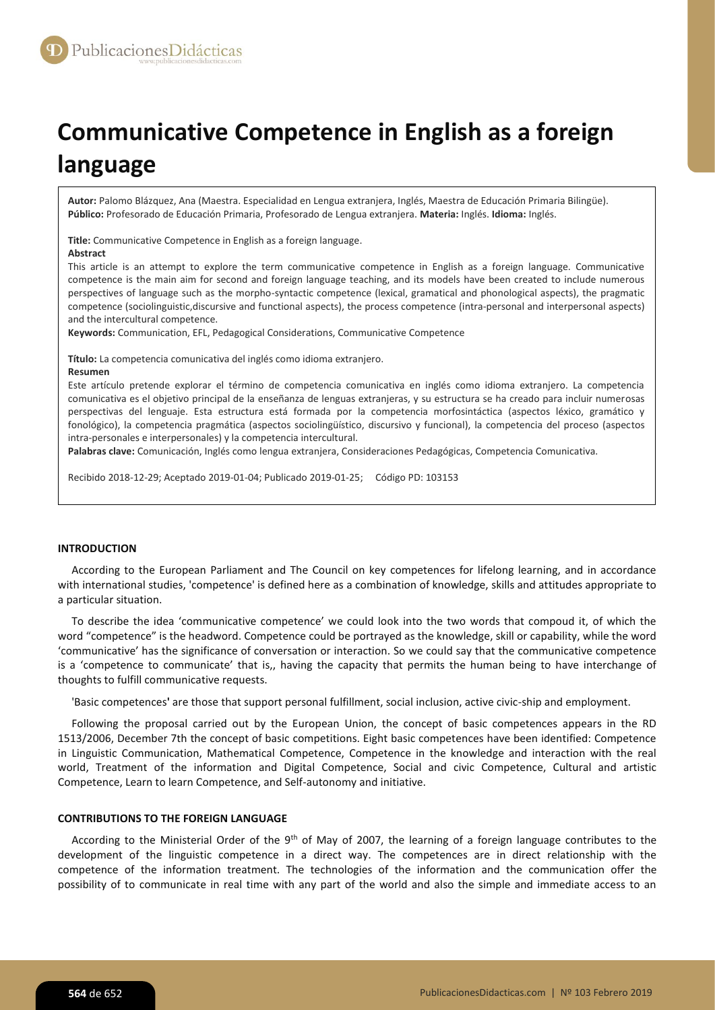# **Communicative Competence in English as a foreign language**

**Autor:** Palomo Blázquez, Ana (Maestra. Especialidad en Lengua extranjera, Inglés, Maestra de Educación Primaria Bilingüe). **Público:** Profesorado de Educación Primaria, Profesorado de Lengua extranjera. **Materia:** Inglés. **Idioma:** Inglés.

**Title:** Communicative Competence in English as a foreign language.

#### **Abstract**

This article is an attempt to explore the term communicative competence in English as a foreign language. Communicative competence is the main aim for second and foreign language teaching, and its models have been created to include numerous perspectives of language such as the morpho-syntactic competence (lexical, gramatical and phonological aspects), the pragmatic competence (sociolinguistic,discursive and functional aspects), the process competence (intra-personal and interpersonal aspects) and the intercultural competence.

**Keywords:** Communication, EFL, Pedagogical Considerations, Communicative Competence

**Título:** La competencia comunicativa del inglés como idioma extranjero.

#### **Resumen**

Este artículo pretende explorar el término de competencia comunicativa en inglés como idioma extranjero. La competencia comunicativa es el objetivo principal de la enseñanza de lenguas extranjeras, y su estructura se ha creado para incluir numerosas perspectivas del lenguaje. Esta estructura está formada por la competencia morfosintáctica (aspectos léxico, gramático y fonológico), la competencia pragmática (aspectos sociolingüístico, discursivo y funcional), la competencia del proceso (aspectos intra-personales e interpersonales) y la competencia intercultural.

**Palabras clave:** Comunicación, Inglés como lengua extranjera, Consideraciones Pedagógicas, Competencia Comunicativa.

Recibido 2018-12-29; Aceptado 2019-01-04; Publicado 2019-01-25; Código PD: 103153

#### **INTRODUCTION**

According to the European Parliament and The Council on key competences for lifelong learning, and in accordance with international studies, 'competence' is defined here as a combination of knowledge, skills and attitudes appropriate to a particular situation.

To describe the idea 'communicative competence' we could look into the two words that compoud it, of which the word "competence" is the headword. Competence could be portrayed as the knowledge, skill or capability, while the word 'communicative' has the significance of conversation or interaction. So we could say that the communicative competence is a 'competence to communicate' that is,, having the capacity that permits the human being to have interchange of thoughts to fulfill communicative requests.

'Basic competences**'** are those that support personal fulfillment, social inclusion, active civic-ship and employment.

Following the proposal carried out by the European Union, the concept of basic competences appears in the RD 1513/2006, December 7th the concept of basic competitions. Eight basic competences have been identified: Competence in Linguistic Communication, Mathematical Competence, Competence in the knowledge and interaction with the real world, Treatment of the information and Digital Competence, Social and civic Competence, Cultural and artistic Competence, Learn to learn Competence, and Self-autonomy and initiative.

#### **CONTRIBUTIONS TO THE FOREIGN LANGUAGE**

According to the Ministerial Order of the 9<sup>th</sup> of May of 2007, the learning of a foreign language contributes to the development of the linguistic competence in a direct way. The competences are in direct relationship with the competence of the information treatment. The technologies of the information and the communication offer the possibility of to communicate in real time with any part of the world and also the simple and immediate access to an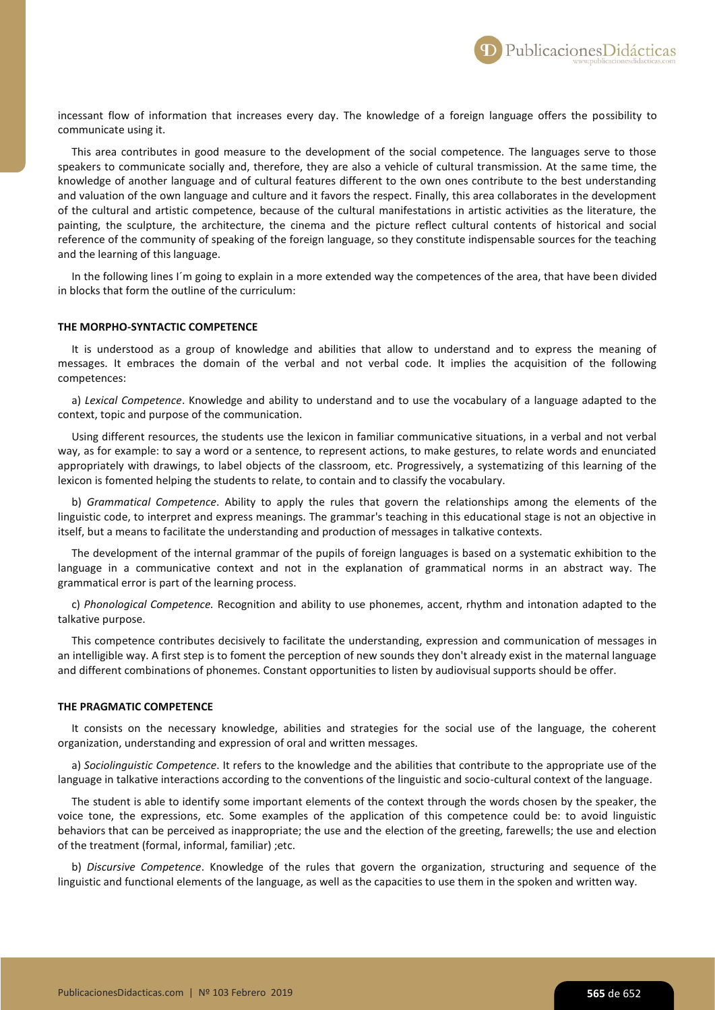incessant flow of information that increases every day. The knowledge of a foreign language offers the possibility to communicate using it.

This area contributes in good measure to the development of the social competence. The languages serve to those speakers to communicate socially and, therefore, they are also a vehicle of cultural transmission. At the same time, the knowledge of another language and of cultural features different to the own ones contribute to the best understanding and valuation of the own language and culture and it favors the respect. Finally, this area collaborates in the development of the cultural and artistic competence, because of the cultural manifestations in artistic activities as the literature, the painting, the sculpture, the architecture, the cinema and the picture reflect cultural contents of historical and social reference of the community of speaking of the foreign language, so they constitute indispensable sources for the teaching and the learning of this language.

In the following lines I´m going to explain in a more extended way the competences of the area, that have been divided in blocks that form the outline of the curriculum:

## **THE MORPHO-SYNTACTIC COMPETENCE**

It is understood as a group of knowledge and abilities that allow to understand and to express the meaning of messages. It embraces the domain of the verbal and not verbal code. It implies the acquisition of the following competences:

a) *Lexical Competence*. Knowledge and ability to understand and to use the vocabulary of a language adapted to the context, topic and purpose of the communication.

Using different resources, the students use the lexicon in familiar communicative situations, in a verbal and not verbal way, as for example: to say a word or a sentence, to represent actions, to make gestures, to relate words and enunciated appropriately with drawings, to label objects of the classroom, etc. Progressively, a systematizing of this learning of the lexicon is fomented helping the students to relate, to contain and to classify the vocabulary.

b) *Grammatical Competence*. Ability to apply the rules that govern the relationships among the elements of the linguistic code, to interpret and express meanings. The grammar's teaching in this educational stage is not an objective in itself, but a means to facilitate the understanding and production of messages in talkative contexts.

The development of the internal grammar of the pupils of foreign languages is based on a systematic exhibition to the language in a communicative context and not in the explanation of grammatical norms in an abstract way. The grammatical error is part of the learning process.

c) *Phonological Competence.* Recognition and ability to use phonemes, accent, rhythm and intonation adapted to the talkative purpose.

This competence contributes decisively to facilitate the understanding, expression and communication of messages in an intelligible way. A first step is to foment the perception of new sounds they don't already exist in the maternal language and different combinations of phonemes. Constant opportunities to listen by audiovisual supports should be offer.

#### **THE PRAGMATIC COMPETENCE**

It consists on the necessary knowledge, abilities and strategies for the social use of the language, the coherent organization, understanding and expression of oral and written messages.

a) *Sociolinguistic Competence*. It refers to the knowledge and the abilities that contribute to the appropriate use of the language in talkative interactions according to the conventions of the linguistic and socio-cultural context of the language.

The student is able to identify some important elements of the context through the words chosen by the speaker, the voice tone, the expressions, etc. Some examples of the application of this competence could be: to avoid linguistic behaviors that can be perceived as inappropriate; the use and the election of the greeting, farewells; the use and election of the treatment (formal, informal, familiar) ;etc.

b) *Discursive Competence*. Knowledge of the rules that govern the organization, structuring and sequence of the linguistic and functional elements of the language, as well as the capacities to use them in the spoken and written way.

PublicacionesDidácticas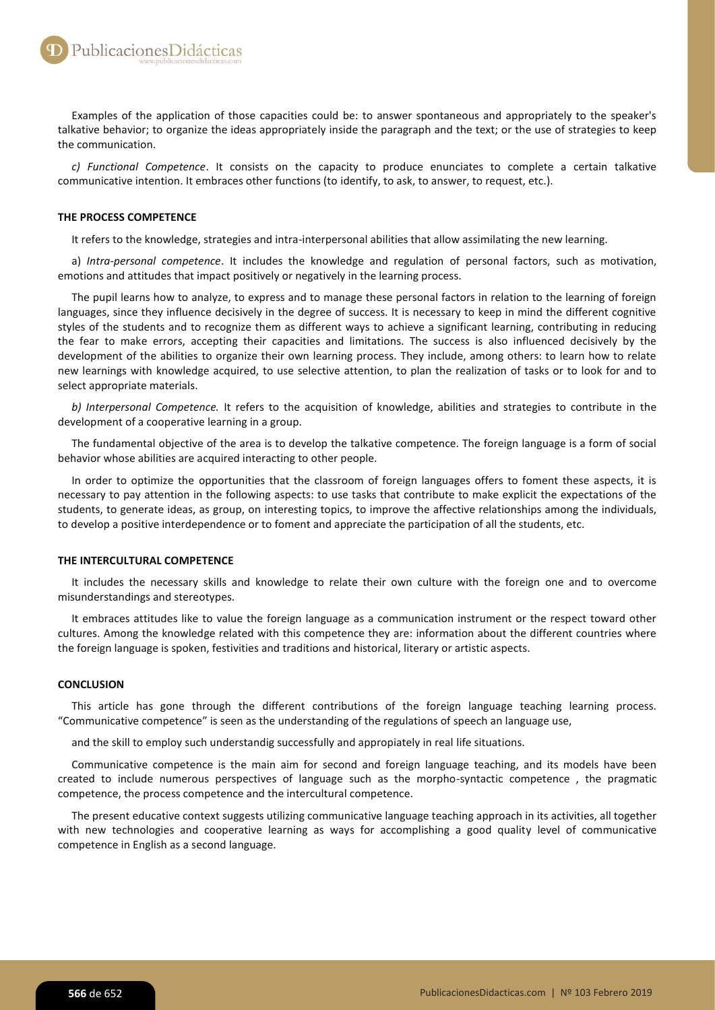Examples of the application of those capacities could be: to answer spontaneous and appropriately to the speaker's talkative behavior; to organize the ideas appropriately inside the paragraph and the text; or the use of strategies to keep the communication.

*c) Functional Competence*. It consists on the capacity to produce enunciates to complete a certain talkative communicative intention. It embraces other functions (to identify, to ask, to answer, to request, etc.).

# **THE PROCESS COMPETENCE**

It refers to the knowledge, strategies and intra-interpersonal abilities that allow assimilating the new learning.

a) *Intra-personal competence*. It includes the knowledge and regulation of personal factors, such as motivation, emotions and attitudes that impact positively or negatively in the learning process.

The pupil learns how to analyze, to express and to manage these personal factors in relation to the learning of foreign languages, since they influence decisively in the degree of success. It is necessary to keep in mind the different cognitive styles of the students and to recognize them as different ways to achieve a significant learning, contributing in reducing the fear to make errors, accepting their capacities and limitations. The success is also influenced decisively by the development of the abilities to organize their own learning process. They include, among others: to learn how to relate new learnings with knowledge acquired, to use selective attention, to plan the realization of tasks or to look for and to select appropriate materials.

*b) Interpersonal Competence.* It refers to the acquisition of knowledge, abilities and strategies to contribute in the development of a cooperative learning in a group.

The fundamental objective of the area is to develop the talkative competence. The foreign language is a form of social behavior whose abilities are acquired interacting to other people.

In order to optimize the opportunities that the classroom of foreign languages offers to foment these aspects, it is necessary to pay attention in the following aspects: to use tasks that contribute to make explicit the expectations of the students, to generate ideas, as group, on interesting topics, to improve the affective relationships among the individuals, to develop a positive interdependence or to foment and appreciate the participation of all the students, etc.

### **THE INTERCULTURAL COMPETENCE**

It includes the necessary skills and knowledge to relate their own culture with the foreign one and to overcome misunderstandings and stereotypes.

It embraces attitudes like to value the foreign language as a communication instrument or the respect toward other cultures. Among the knowledge related with this competence they are: information about the different countries where the foreign language is spoken, festivities and traditions and historical, literary or artistic aspects.

#### **CONCLUSION**

This article has gone through the different contributions of the foreign language teaching learning process. "Communicative competence" is seen as the understanding of the regulations of speech an language use,

and the skill to employ such understandig successfully and appropiately in real life situations.

Communicative competence is the main aim for second and foreign language teaching, and its models have been created to include numerous perspectives of language such as the morpho-syntactic competence , the pragmatic competence, the process competence and the intercultural competence.

The present educative context suggests utilizing communicative language teaching approach in its activities, all together with new technologies and cooperative learning as ways for accomplishing a good quality level of communicative competence in English as a second language.